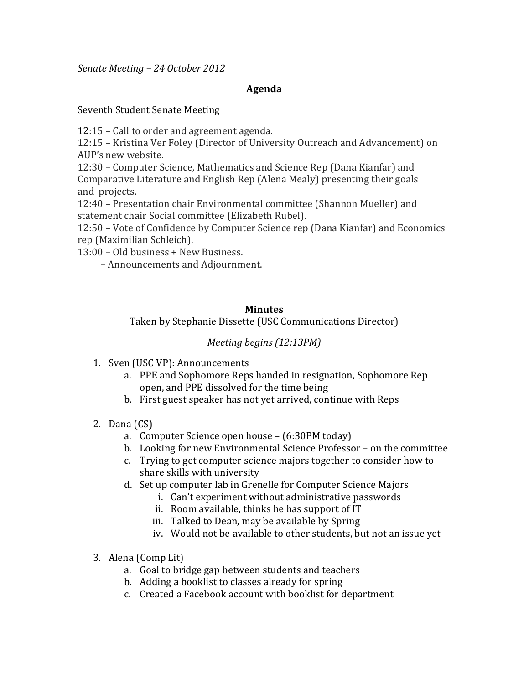*Senate&Meeting&– 24 October&2012*

### **Agenda**

#### Seventh Student Senate Meeting

12:15 – Call to order and agreement agenda.

12:15 – Kristina Ver Foley (Director of University Outreach and Advancement) on AUP's new website.

12:30 – Computer Science, Mathematics and Science Rep (Dana Kianfar) and Comparative Literature and English Rep (Alena Mealy) presenting their goals and' projects.

12:40 - Presentation chair Environmental committee (Shannon Mueller) and statement chair Social committee (Elizabeth Rubel).

12:50 – Vote of Confidence by Computer Science rep (Dana Kianfar) and Economics rep (Maximilian Schleich).

13:00 - Old business + New Business.

– Announcements and Adjournment.

#### **Minutes**

Taken by Stephanie Dissette (USC Communications Director)

# *Meeting begins (12:13PM)*

- 1. Sven (USC VP): Announcements
	- a. PPE and Sophomore Reps handed in resignation, Sophomore Rep open, and PPE dissolved for the time being
	- b. First guest speaker has not yet arrived, continue with Reps
- 2. Dana $(CS)$ 
	- a. Computer Science open house  $-$  (6:30PM today)
	- b. Looking for new Environmental Science Professor on the committee
	- c. Trying to get computer science majors together to consider how to share skills with university
	- d. Set up computer lab in Grenelle for Computer Science Majors'
		- i. Can't experiment without administrative passwords
			- ii. Room available, thinks he has support of IT
		- iii. Talked to Dean, may be available by Spring
		- iv. Would not be available to other students, but not an issue yet
- 3. Alena (Comp Lit)
	- a. Goal to bridge gap between students and teachers
	- b. Adding a booklist to classes already for spring
	- c. Created a Facebook account with booklist for department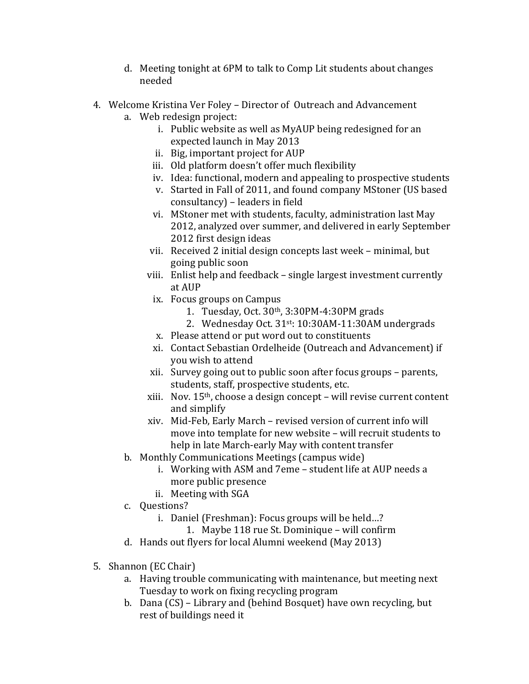- d. Meeting tonight at 6PM to talk to Comp Lit students about changes needed
- 4. Welcome Kristina Ver Foley Director of Outreach and Advancement a. Web redesign project:
	- i. Public website as well as MyAUP being redesigned for an expected launch in May 2013
	- ii. Big, important project for AUP
	- iii. Old platform doesn't offer much flexibility
	- iv. Idea: functional, modern and appealing to prospective students
	- v. Started in Fall of 2011, and found company MStoner (US based) consultancy) – leaders in field
	- vi. MStoner met with students, faculty, administration last May 2012, analyzed over summer, and delivered in early September 2012 first design ideas
	- vii. Received 2 initial design concepts last week minimal, but going'public'soon
	- viii. Enlist help and feedback single largest investment currently at AUP
		- ix. Focus groups on Campus
			- 1. Tuesday, Oct.  $30<sup>th</sup>$ ,  $3:30PM-4:30PM$  grads
			- 2. Wednesday Oct.  $31^{st}$ : 10:30AM-11:30AM undergrads
		- x. Please attend or put word out to constituents
		- xi. Contact Sebastian Ordelheide (Outreach and Advancement) if you wish to attend
	- xii. Survey going out to public soon after focus groups parents, students, staff, prospective students, etc.
	- xiii. Nov. 15<sup>th</sup>, choose a design concept will revise current content and simplify
	- xiv. Mid-Feb, Early March revised version of current info will move into template for new website – will recruit students to help in late March-early May with content transfer
	- b. Monthly Communications Meetings (campus wide)
		- i. Working with ASM and 7eme student life at AUP needs a more public presence
		- ii. Meeting with SGA
	- c. Questions?'
		- i. Daniel (Freshman): Focus groups will be held...?
			- 1. Maybe 118 rue St. Dominique will confirm
	- d. Hands out flyers for local Alumni weekend (May 2013)
- 5. Shannon (EC Chair)
	- a. Having trouble communicating with maintenance, but meeting next Tuesday to work on fixing recycling program
	- b. Dana (CS) Library and (behind Bosquet) have own recycling, but rest of buildings need it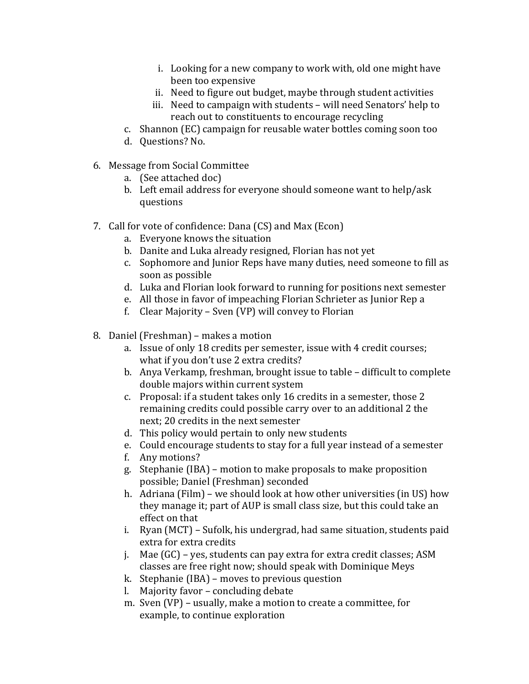- i. Looking for a new company to work with, old one might have been too expensive
- ii. Need to figure out budget, maybe through student activities
- iii. Need to campaign with students will need Senators' help to reach out to constituents to encourage recycling
- c. Shannon (EC) campaign for reusable water bottles coming soon too
- d. Questions? No.
- 6. Message from Social Committee
	- a. (See attached doc)
	- b. Left email address for everyone should someone want to help/ask questions
- 7. Call for vote of confidence: Dana (CS) and Max (Econ)
	- a. Everyone knows the situation
	- b. Danite and Luka already resigned, Florian has not yet
	- c. Sophomore and Junior Reps have many duties, need someone to fill as soon as possible
	- d. Luka and Florian look forward to running for positions next semester
	- e. All those in favor of impeaching Florian Schrieter as Junior Rep a
	- f. Clear Majority Sven (VP) will convey to Florian
- 8. Daniel (Freshman) makes a motion
	- a. Issue of only 18 credits per semester, issue with 4 credit courses; what if you don't use 2 extra credits?
	- b. Anya Verkamp, freshman, brought issue to table difficult to complete double majors within current system
	- c. Proposal: if a student takes only 16 credits in a semester, those 2 remaining credits could possible carry over to an additional 2 the next: 20 credits in the next semester
	- d. This policy would pertain to only new students
	- e. Could encourage students to stay for a full year instead of a semester
	- f. Any motions?
	- g. Stephanie (IBA) motion to make proposals to make proposition possible; Daniel (Freshman) seconded
	- h. Adriana (Film) we should look at how other universities (in US) how they manage it; part of AUP is small class size, but this could take an effect on that
	- i. Ryan (MCT) Sufolk, his undergrad, had same situation, students paid extra for extra credits
	- j. Mae  $(GC)$  yes, students can pay extra for extra credit classes; ASM classes are free right now; should speak with Dominique Meys
	- k. Stephanie (IBA) moves to previous question
	- l. Majority favor concluding debate
	- m. Sven (VP) usually, make a motion to create a committee, for example, to continue exploration